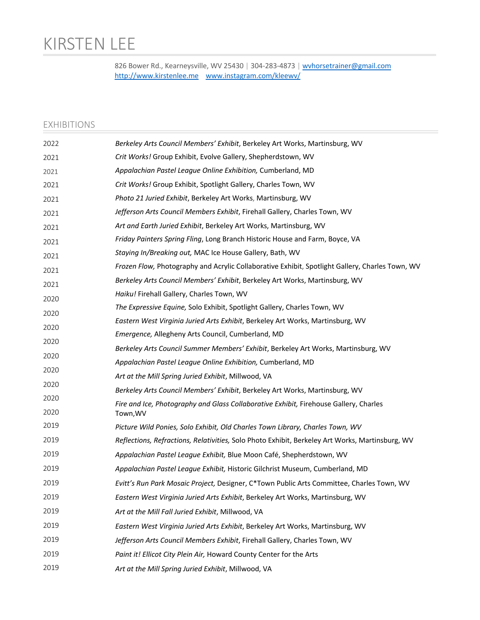# KIRSTEN LEE

826 Bower Rd., Kearneysville, WV 25430 | 304-283-4873 | wvhorsetrainer@gmail.com http://www.kirstenlee.me www.instagram.com/kleewv/

### EXHIBITIONS

| 2022 | Berkeley Arts Council Members' Exhibit, Berkeley Art Works, Martinsburg, WV                     |
|------|-------------------------------------------------------------------------------------------------|
| 2021 | Crit Works! Group Exhibit, Evolve Gallery, Shepherdstown, WV                                    |
| 2021 | Appalachian Pastel League Online Exhibition, Cumberland, MD                                     |
| 2021 | Crit Works! Group Exhibit, Spotlight Gallery, Charles Town, WV                                  |
| 2021 | Photo 21 Juried Exhibit, Berkeley Art Works, Martinsburg, WV                                    |
| 2021 | Jefferson Arts Council Members Exhibit, Firehall Gallery, Charles Town, WV                      |
| 2021 | Art and Earth Juried Exhibit, Berkeley Art Works, Martinsburg, WV                               |
| 2021 | Friday Painters Spring Fling, Long Branch Historic House and Farm, Boyce, VA                    |
| 2021 | Staying In/Breaking out, MAC Ice House Gallery, Bath, WV                                        |
| 2021 | Frozen Flow, Photography and Acrylic Collaborative Exhibit, Spotlight Gallery, Charles Town, WV |
| 2021 | Berkeley Arts Council Members' Exhibit, Berkeley Art Works, Martinsburg, WV                     |
| 2020 | Haiku! Firehall Gallery, Charles Town, WV                                                       |
| 2020 | The Expressive Equine, Solo Exhibit, Spotlight Gallery, Charles Town, WV                        |
| 2020 | Eastern West Virginia Juried Arts Exhibit, Berkeley Art Works, Martinsburg, WV                  |
|      | Emergence, Allegheny Arts Council, Cumberland, MD                                               |
| 2020 | Berkeley Arts Council Summer Members' Exhibit, Berkeley Art Works, Martinsburg, WV              |
| 2020 | Appalachian Pastel League Online Exhibition, Cumberland, MD                                     |
| 2020 | Art at the Mill Spring Juried Exhibit, Millwood, VA                                             |
| 2020 | Berkeley Arts Council Members' Exhibit, Berkeley Art Works, Martinsburg, WV                     |
| 2020 | Fire and Ice, Photography and Glass Collaborative Exhibit, Firehouse Gallery, Charles           |
| 2020 | Town, WV                                                                                        |
| 2019 | Picture Wild Ponies, Solo Exhibit, Old Charles Town Library, Charles Town, WV                   |
| 2019 | Reflections, Refractions, Relativities, Solo Photo Exhibit, Berkeley Art Works, Martinsburg, WV |
| 2019 | Appalachian Pastel League Exhibit, Blue Moon Café, Shepherdstown, WV                            |
| 2019 | Appalachian Pastel League Exhibit, Historic Gilchrist Museum, Cumberland, MD                    |
| 2019 | Evitt's Run Park Mosaic Project, Designer, C*Town Public Arts Committee, Charles Town, WV       |
| 2019 | Eastern West Virginia Juried Arts Exhibit, Berkeley Art Works, Martinsburg, WV                  |
| 2019 | Art at the Mill Fall Juried Exhibit, Millwood, VA                                               |
| 2019 | Eastern West Virginia Juried Arts Exhibit, Berkeley Art Works, Martinsburg, WV                  |
| 2019 | Jefferson Arts Council Members Exhibit, Firehall Gallery, Charles Town, WV                      |
| 2019 | Paint it! Ellicot City Plein Air, Howard County Center for the Arts                             |
| 2019 | Art at the Mill Spring Juried Exhibit, Millwood, VA                                             |